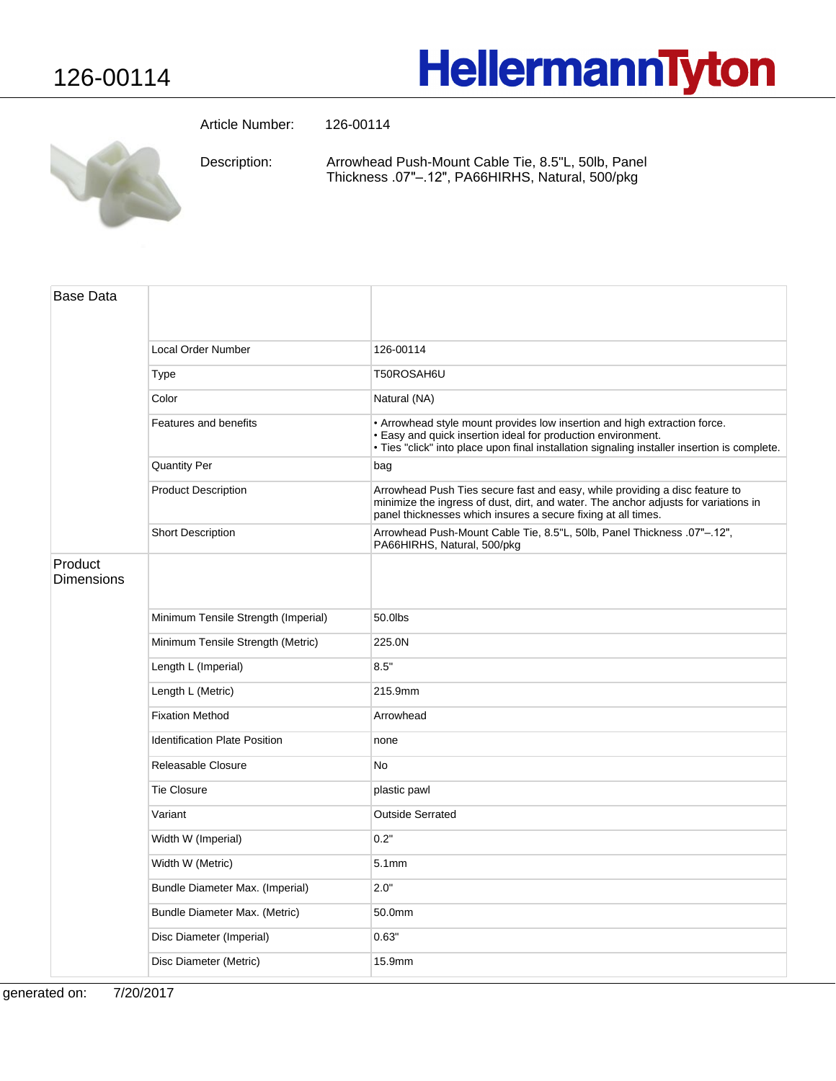## **HellermannTyton**

Article Number: 126-00114

Arrowhead Push-Mount Cable Tie, 8.5"L, 50lb, Panel Thickness .07"-.12", PA66HIRHS, Natural, 500/pkg Description:

| Base Data                    |                                      |                                                                                                                                                                                                                                           |
|------------------------------|--------------------------------------|-------------------------------------------------------------------------------------------------------------------------------------------------------------------------------------------------------------------------------------------|
|                              | <b>Local Order Number</b>            | 126-00114                                                                                                                                                                                                                                 |
|                              | Type                                 | T50ROSAH6U                                                                                                                                                                                                                                |
|                              | Color                                | Natural (NA)                                                                                                                                                                                                                              |
|                              | Features and benefits                | • Arrowhead style mount provides low insertion and high extraction force.<br>• Easy and quick insertion ideal for production environment.<br>· Ties "click" into place upon final installation signaling installer insertion is complete. |
|                              | <b>Quantity Per</b>                  | bag                                                                                                                                                                                                                                       |
|                              | <b>Product Description</b>           | Arrowhead Push Ties secure fast and easy, while providing a disc feature to<br>minimize the ingress of dust, dirt, and water. The anchor adjusts for variations in<br>panel thicknesses which insures a secure fixing at all times.       |
|                              | <b>Short Description</b>             | Arrowhead Push-Mount Cable Tie, 8.5"L, 50lb, Panel Thickness .07"-.12",<br>PA66HIRHS, Natural, 500/pkg                                                                                                                                    |
| Product<br><b>Dimensions</b> |                                      |                                                                                                                                                                                                                                           |
|                              | Minimum Tensile Strength (Imperial)  | 50.0lbs                                                                                                                                                                                                                                   |
|                              | Minimum Tensile Strength (Metric)    | 225.0N                                                                                                                                                                                                                                    |
|                              | Length L (Imperial)                  | 8.5"                                                                                                                                                                                                                                      |
|                              | Length L (Metric)                    | 215.9mm                                                                                                                                                                                                                                   |
|                              | <b>Fixation Method</b>               | Arrowhead                                                                                                                                                                                                                                 |
|                              | <b>Identification Plate Position</b> | none                                                                                                                                                                                                                                      |
|                              | Releasable Closure                   | <b>No</b>                                                                                                                                                                                                                                 |
|                              | <b>Tie Closure</b>                   | plastic pawl                                                                                                                                                                                                                              |
|                              | Variant                              | <b>Outside Serrated</b>                                                                                                                                                                                                                   |
|                              | Width W (Imperial)                   | 0.2"                                                                                                                                                                                                                                      |
|                              | Width W (Metric)                     | 5.1 <sub>mm</sub>                                                                                                                                                                                                                         |
|                              | Bundle Diameter Max. (Imperial)      | 2.0"                                                                                                                                                                                                                                      |
|                              | Bundle Diameter Max. (Metric)        | 50.0mm                                                                                                                                                                                                                                    |
|                              | Disc Diameter (Imperial)             | 0.63"                                                                                                                                                                                                                                     |
|                              | Disc Diameter (Metric)               | 15.9mm                                                                                                                                                                                                                                    |